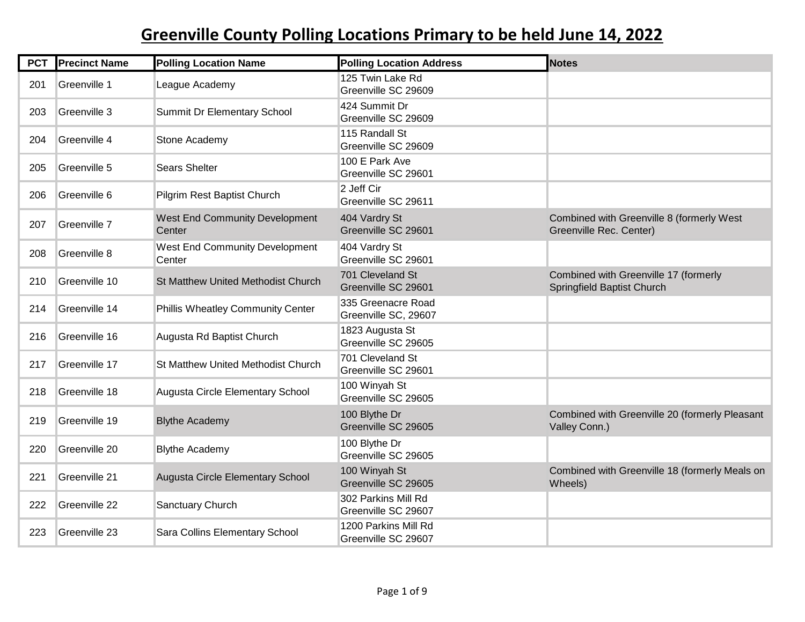| <b>PCT</b> | <b>Precinct Name</b> | <b>Polling Location Name</b>              | <b>Polling Location Address</b>             | <b>Notes</b>                                                         |
|------------|----------------------|-------------------------------------------|---------------------------------------------|----------------------------------------------------------------------|
| 201        | Greenville 1         | League Academy                            | 125 Twin Lake Rd<br>Greenville SC 29609     |                                                                      |
| 203        | Greenville 3         | Summit Dr Elementary School               | 424 Summit Dr<br>Greenville SC 29609        |                                                                      |
| 204        | Greenville 4         | Stone Academy                             | 115 Randall St<br>Greenville SC 29609       |                                                                      |
| 205        | Greenville 5         | <b>Sears Shelter</b>                      | 100 E Park Ave<br>Greenville SC 29601       |                                                                      |
| 206        | Greenville 6         | Pilgrim Rest Baptist Church               | 2 Jeff Cir<br>Greenville SC 29611           |                                                                      |
| 207        | Greenville 7         | West End Community Development<br>Center  | 404 Vardry St<br>Greenville SC 29601        | Combined with Greenville 8 (formerly West<br>Greenville Rec. Center) |
| 208        | Greenville 8         | West End Community Development<br>Center  | 404 Vardry St<br>Greenville SC 29601        |                                                                      |
| 210        | Greenville 10        | <b>St Matthew United Methodist Church</b> | 701 Cleveland St<br>Greenville SC 29601     | Combined with Greenville 17 (formerly<br>Springfield Baptist Church  |
| 214        | Greenville 14        | Phillis Wheatley Community Center         | 335 Greenacre Road<br>Greenville SC, 29607  |                                                                      |
| 216        | Greenville 16        | Augusta Rd Baptist Church                 | 1823 Augusta St<br>Greenville SC 29605      |                                                                      |
| 217        | Greenville 17        | St Matthew United Methodist Church        | 701 Cleveland St<br>Greenville SC 29601     |                                                                      |
| 218        | Greenville 18        | Augusta Circle Elementary School          | 100 Winyah St<br>Greenville SC 29605        |                                                                      |
| 219        | Greenville 19        | <b>Blythe Academy</b>                     | 100 Blythe Dr<br>Greenville SC 29605        | Combined with Greenville 20 (formerly Pleasant<br>Valley Conn.)      |
| 220        | Greenville 20        | <b>Blythe Academy</b>                     | 100 Blythe Dr<br>Greenville SC 29605        |                                                                      |
| 221        | Greenville 21        | Augusta Circle Elementary School          | 100 Winyah St<br>Greenville SC 29605        | Combined with Greenville 18 (formerly Meals on<br>Wheels)            |
| 222        | Greenville 22        | Sanctuary Church                          | 302 Parkins Mill Rd<br>Greenville SC 29607  |                                                                      |
| 223        | Greenville 23        | Sara Collins Elementary School            | 1200 Parkins Mill Rd<br>Greenville SC 29607 |                                                                      |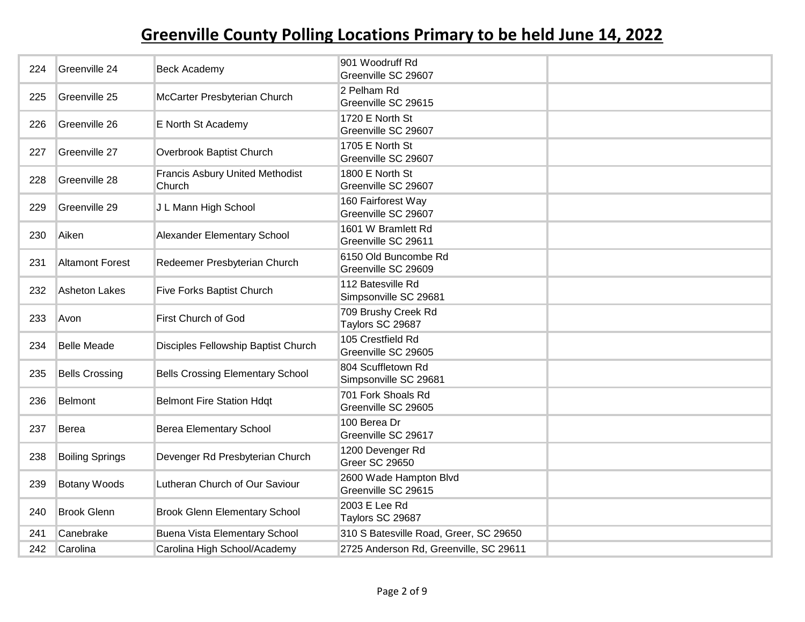| 224 | Greenville 24          | <b>Beck Academy</b>                              | 901 Woodruff Rd<br>Greenville SC 29607        |  |
|-----|------------------------|--------------------------------------------------|-----------------------------------------------|--|
| 225 | Greenville 25          | McCarter Presbyterian Church                     | 2 Pelham Rd<br>Greenville SC 29615            |  |
| 226 | Greenville 26          | E North St Academy                               | 1720 E North St<br>Greenville SC 29607        |  |
| 227 | Greenville 27          | Overbrook Baptist Church                         | 1705 E North St<br>Greenville SC 29607        |  |
| 228 | Greenville 28          | <b>Francis Asbury United Methodist</b><br>Church | 1800 E North St<br>Greenville SC 29607        |  |
| 229 | Greenville 29          | J L Mann High School                             | 160 Fairforest Way<br>Greenville SC 29607     |  |
| 230 | Aiken                  | Alexander Elementary School                      | 1601 W Bramlett Rd<br>Greenville SC 29611     |  |
| 231 | <b>Altamont Forest</b> | Redeemer Presbyterian Church                     | 6150 Old Buncombe Rd<br>Greenville SC 29609   |  |
| 232 | Asheton Lakes          | Five Forks Baptist Church                        | 112 Batesville Rd<br>Simpsonville SC 29681    |  |
| 233 | Avon                   | First Church of God                              | 709 Brushy Creek Rd<br>Taylors SC 29687       |  |
| 234 | <b>Belle Meade</b>     | Disciples Fellowship Baptist Church              | 105 Crestfield Rd<br>Greenville SC 29605      |  |
| 235 | <b>Bells Crossing</b>  | <b>Bells Crossing Elementary School</b>          | 804 Scuffletown Rd<br>Simpsonville SC 29681   |  |
| 236 | Belmont                | <b>Belmont Fire Station Hdgt</b>                 | 701 Fork Shoals Rd<br>Greenville SC 29605     |  |
| 237 | Berea                  | <b>Berea Elementary School</b>                   | 100 Berea Dr<br>Greenville SC 29617           |  |
| 238 | <b>Boiling Springs</b> | Devenger Rd Presbyterian Church                  | 1200 Devenger Rd<br><b>Greer SC 29650</b>     |  |
| 239 | <b>Botany Woods</b>    | Lutheran Church of Our Saviour                   | 2600 Wade Hampton Blvd<br>Greenville SC 29615 |  |
| 240 | <b>Brook Glenn</b>     | <b>Brook Glenn Elementary School</b>             | 2003 E Lee Rd<br>Taylors SC 29687             |  |
| 241 | Canebrake              | <b>Buena Vista Elementary School</b>             | 310 S Batesville Road, Greer, SC 29650        |  |
| 242 | Carolina               | Carolina High School/Academy                     | 2725 Anderson Rd, Greenville, SC 29611        |  |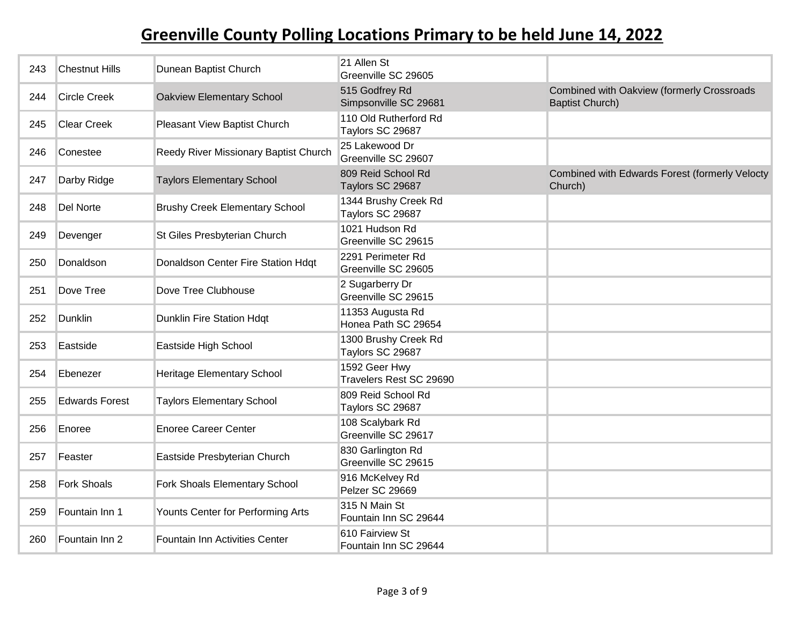| 243 | <b>Chestnut Hills</b> | Dunean Baptist Church                 | 21 Allen St<br>Greenville SC 29605        |                                                                      |
|-----|-----------------------|---------------------------------------|-------------------------------------------|----------------------------------------------------------------------|
| 244 | <b>Circle Creek</b>   | Oakview Elementary School             | 515 Godfrey Rd<br>Simpsonville SC 29681   | Combined with Oakview (formerly Crossroads<br><b>Baptist Church)</b> |
| 245 | <b>Clear Creek</b>    | Pleasant View Baptist Church          | 110 Old Rutherford Rd<br>Taylors SC 29687 |                                                                      |
| 246 | Conestee              | Reedy River Missionary Baptist Church | 25 Lakewood Dr<br>Greenville SC 29607     |                                                                      |
| 247 | Darby Ridge           | <b>Taylors Elementary School</b>      | 809 Reid School Rd<br>Taylors SC 29687    | Combined with Edwards Forest (formerly Velocty<br>Church)            |
| 248 | Del Norte             | <b>Brushy Creek Elementary School</b> | 1344 Brushy Creek Rd<br>Taylors SC 29687  |                                                                      |
| 249 | Devenger              | St Giles Presbyterian Church          | 1021 Hudson Rd<br>Greenville SC 29615     |                                                                      |
| 250 | Donaldson             | Donaldson Center Fire Station Hdqt    | 2291 Perimeter Rd<br>Greenville SC 29605  |                                                                      |
| 251 | Dove Tree             | Dove Tree Clubhouse                   | 2 Sugarberry Dr<br>Greenville SC 29615    |                                                                      |
| 252 | <b>Dunklin</b>        | <b>Dunklin Fire Station Hdgt</b>      | 11353 Augusta Rd<br>Honea Path SC 29654   |                                                                      |
| 253 | Eastside              | Eastside High School                  | 1300 Brushy Creek Rd<br>Taylors SC 29687  |                                                                      |
| 254 | Ebenezer              | <b>Heritage Elementary School</b>     | 1592 Geer Hwy<br>Travelers Rest SC 29690  |                                                                      |
| 255 | <b>Edwards Forest</b> | <b>Taylors Elementary School</b>      | 809 Reid School Rd<br>Taylors SC 29687    |                                                                      |
| 256 | Enoree                | <b>Enoree Career Center</b>           | 108 Scalybark Rd<br>Greenville SC 29617   |                                                                      |
| 257 | Feaster               | Eastside Presbyterian Church          | 830 Garlington Rd<br>Greenville SC 29615  |                                                                      |
| 258 | <b>Fork Shoals</b>    | Fork Shoals Elementary School         | 916 McKelvey Rd<br>Pelzer SC 29669        |                                                                      |
| 259 | Fountain Inn 1        | Younts Center for Performing Arts     | 315 N Main St<br>Fountain Inn SC 29644    |                                                                      |
| 260 | Fountain Inn 2        | Fountain Inn Activities Center        | 610 Fairview St<br>Fountain Inn SC 29644  |                                                                      |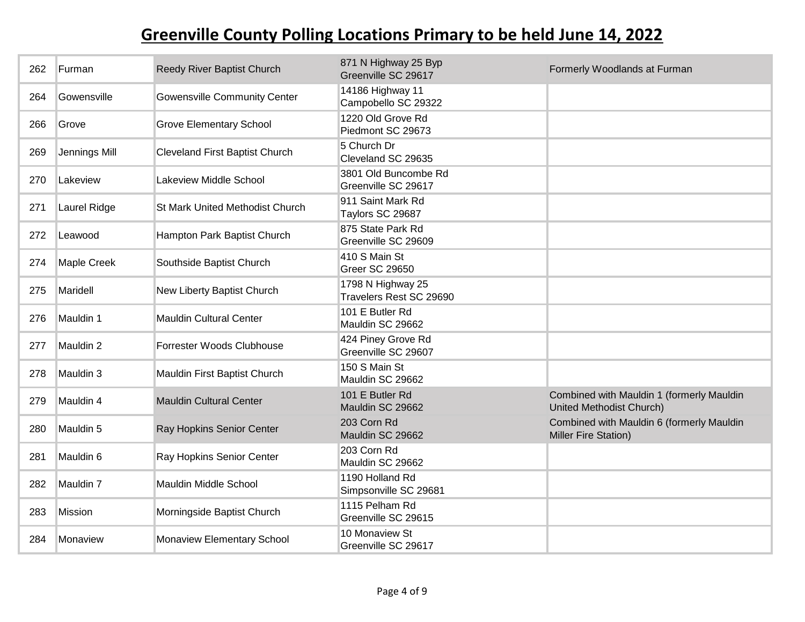| 262 | <b>Furman</b>      | Reedy River Baptist Church             | 871 N Highway 25 Byp<br>Greenville SC 29617  | Formerly Woodlands at Furman                                          |
|-----|--------------------|----------------------------------------|----------------------------------------------|-----------------------------------------------------------------------|
| 264 | Gowensville        | <b>Gowensville Community Center</b>    | 14186 Highway 11<br>Campobello SC 29322      |                                                                       |
| 266 | Grove              | <b>Grove Elementary School</b>         | 1220 Old Grove Rd<br>Piedmont SC 29673       |                                                                       |
| 269 | Jennings Mill      | <b>Cleveland First Baptist Church</b>  | 5 Church Dr<br>Cleveland SC 29635            |                                                                       |
| 270 | Lakeview           | <b>Lakeview Middle School</b>          | 3801 Old Buncombe Rd<br>Greenville SC 29617  |                                                                       |
| 271 | Laurel Ridge       | <b>St Mark United Methodist Church</b> | 911 Saint Mark Rd<br>Taylors SC 29687        |                                                                       |
| 272 | Leawood            | Hampton Park Baptist Church            | 875 State Park Rd<br>Greenville SC 29609     |                                                                       |
| 274 | <b>Maple Creek</b> | Southside Baptist Church               | 410 S Main St<br><b>Greer SC 29650</b>       |                                                                       |
| 275 | Maridell           | New Liberty Baptist Church             | 1798 N Highway 25<br>Travelers Rest SC 29690 |                                                                       |
| 276 | Mauldin 1          | <b>Mauldin Cultural Center</b>         | 101 E Butler Rd<br>Mauldin SC 29662          |                                                                       |
| 277 | Mauldin 2          | Forrester Woods Clubhouse              | 424 Piney Grove Rd<br>Greenville SC 29607    |                                                                       |
| 278 | Mauldin 3          | Mauldin First Baptist Church           | 150 S Main St<br>Mauldin SC 29662            |                                                                       |
| 279 | Mauldin 4          | <b>Mauldin Cultural Center</b>         | 101 E Butler Rd<br>Mauldin SC 29662          | Combined with Mauldin 1 (formerly Mauldin<br>United Methodist Church) |
| 280 | Mauldin 5          | Ray Hopkins Senior Center              | 203 Corn Rd<br>Mauldin SC 29662              | Combined with Mauldin 6 (formerly Mauldin<br>Miller Fire Station)     |
| 281 | Mauldin 6          | Ray Hopkins Senior Center              | 203 Corn Rd<br>Mauldin SC 29662              |                                                                       |
| 282 | Mauldin 7          | Mauldin Middle School                  | 1190 Holland Rd<br>Simpsonville SC 29681     |                                                                       |
| 283 | <b>Mission</b>     | Morningside Baptist Church             | 1115 Pelham Rd<br>Greenville SC 29615        |                                                                       |
| 284 | Monaview           | Monaview Elementary School             | 10 Monaview St<br>Greenville SC 29617        |                                                                       |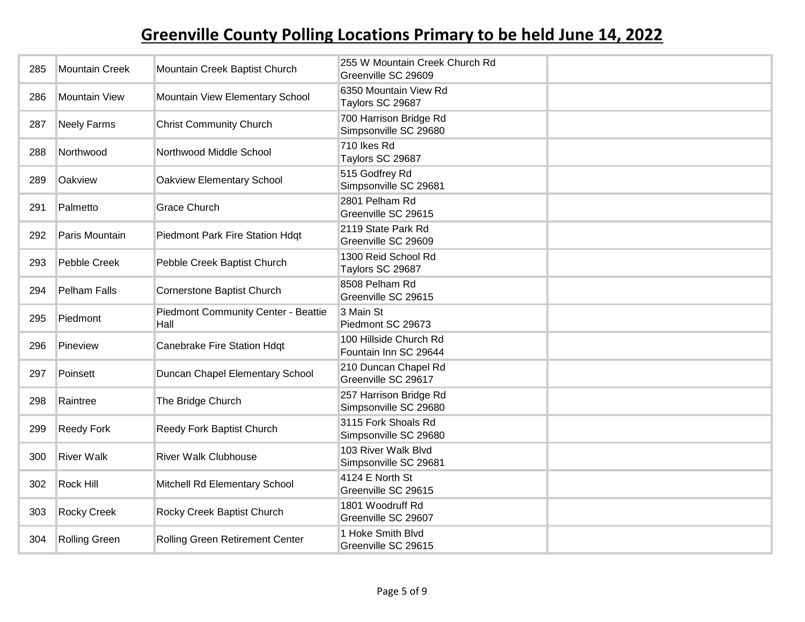| 285 | <b>Mountain Creek</b> | Mountain Creek Baptist Church                      | 255 W Mountain Creek Church Rd<br>Greenville SC 29609 |  |
|-----|-----------------------|----------------------------------------------------|-------------------------------------------------------|--|
| 286 | <b>Mountain View</b>  | Mountain View Elementary School                    | 6350 Mountain View Rd<br>Taylors SC 29687             |  |
| 287 | <b>Neely Farms</b>    | <b>Christ Community Church</b>                     | 700 Harrison Bridge Rd<br>Simpsonville SC 29680       |  |
| 288 | Northwood             | Northwood Middle School                            | 710 Ikes Rd<br>Taylors SC 29687                       |  |
| 289 | Oakview               | Oakview Elementary School                          | 515 Godfrey Rd<br>Simpsonville SC 29681               |  |
| 291 | Palmetto              | <b>Grace Church</b>                                | 2801 Pelham Rd<br>Greenville SC 29615                 |  |
| 292 | Paris Mountain        | Piedmont Park Fire Station Hdqt                    | 2119 State Park Rd<br>Greenville SC 29609             |  |
| 293 | Pebble Creek          | Pebble Creek Baptist Church                        | 1300 Reid School Rd<br>Taylors SC 29687               |  |
| 294 | Pelham Falls          | Cornerstone Baptist Church                         | 8508 Pelham Rd<br>Greenville SC 29615                 |  |
| 295 | Piedmont              | <b>Piedmont Community Center - Beattie</b><br>Hall | 3 Main St<br>Piedmont SC 29673                        |  |
| 296 | Pineview              | Canebrake Fire Station Hdqt                        | 100 Hillside Church Rd<br>Fountain Inn SC 29644       |  |
| 297 | Poinsett              | Duncan Chapel Elementary School                    | 210 Duncan Chapel Rd<br>Greenville SC 29617           |  |
| 298 | Raintree              | The Bridge Church                                  | 257 Harrison Bridge Rd<br>Simpsonville SC 29680       |  |
| 299 | <b>Reedy Fork</b>     | Reedy Fork Baptist Church                          | 3115 Fork Shoals Rd<br>Simpsonville SC 29680          |  |
| 300 | <b>River Walk</b>     | <b>River Walk Clubhouse</b>                        | 103 River Walk Blvd<br>Simpsonville SC 29681          |  |
| 302 | Rock Hill             | Mitchell Rd Elementary School                      | 4124 E North St<br>Greenville SC 29615                |  |
| 303 | <b>Rocky Creek</b>    | Rocky Creek Baptist Church                         | 1801 Woodruff Rd<br>Greenville SC 29607               |  |
| 304 | Rolling Green         | Rolling Green Retirement Center                    | 1 Hoke Smith Blvd<br>Greenville SC 29615              |  |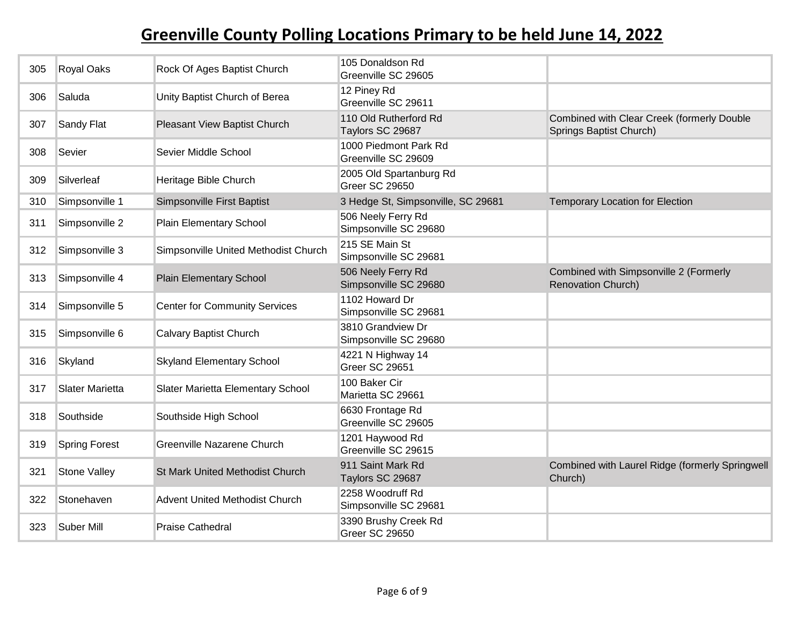| 305 | Royal Oaks           | Rock Of Ages Baptist Church           | 105 Donaldson Rd<br>Greenville SC 29605          |                                                                       |
|-----|----------------------|---------------------------------------|--------------------------------------------------|-----------------------------------------------------------------------|
| 306 | Saluda               | Unity Baptist Church of Berea         | 12 Piney Rd<br>Greenville SC 29611               |                                                                       |
| 307 | Sandy Flat           | Pleasant View Baptist Church          | 110 Old Rutherford Rd<br>Taylors SC 29687        | Combined with Clear Creek (formerly Double<br>Springs Baptist Church) |
| 308 | Sevier               | Sevier Middle School                  | 1000 Piedmont Park Rd<br>Greenville SC 29609     |                                                                       |
| 309 | Silverleaf           | Heritage Bible Church                 | 2005 Old Spartanburg Rd<br><b>Greer SC 29650</b> |                                                                       |
| 310 | Simpsonville 1       | Simpsonville First Baptist            | 3 Hedge St, Simpsonville, SC 29681               | <b>Temporary Location for Election</b>                                |
| 311 | Simpsonville 2       | Plain Elementary School               | 506 Neely Ferry Rd<br>Simpsonville SC 29680      |                                                                       |
| 312 | Simpsonville 3       | Simpsonville United Methodist Church  | 215 SE Main St<br>Simpsonville SC 29681          |                                                                       |
| 313 | Simpsonville 4       | <b>Plain Elementary School</b>        | 506 Neely Ferry Rd<br>Simpsonville SC 29680      | Combined with Simpsonville 2 (Formerly<br><b>Renovation Church)</b>   |
| 314 | Simpsonville 5       | <b>Center for Community Services</b>  | 1102 Howard Dr<br>Simpsonville SC 29681          |                                                                       |
| 315 | Simpsonville 6       | Calvary Baptist Church                | 3810 Grandview Dr<br>Simpsonville SC 29680       |                                                                       |
| 316 | Skyland              | <b>Skyland Elementary School</b>      | 4221 N Highway 14<br><b>Greer SC 29651</b>       |                                                                       |
| 317 | Slater Marietta      | Slater Marietta Elementary School     | 100 Baker Cir<br>Marietta SC 29661               |                                                                       |
| 318 | Southside            | Southside High School                 | 6630 Frontage Rd<br>Greenville SC 29605          |                                                                       |
| 319 | <b>Spring Forest</b> | Greenville Nazarene Church            | 1201 Haywood Rd<br>Greenville SC 29615           |                                                                       |
| 321 | <b>Stone Valley</b>  | St Mark United Methodist Church       | 911 Saint Mark Rd<br>Taylors SC 29687            | Combined with Laurel Ridge (formerly Springwell<br>Church)            |
| 322 | Stonehaven           | <b>Advent United Methodist Church</b> | 2258 Woodruff Rd<br>Simpsonville SC 29681        |                                                                       |
| 323 | Suber Mill           | <b>Praise Cathedral</b>               | 3390 Brushy Creek Rd<br><b>Greer SC 29650</b>    |                                                                       |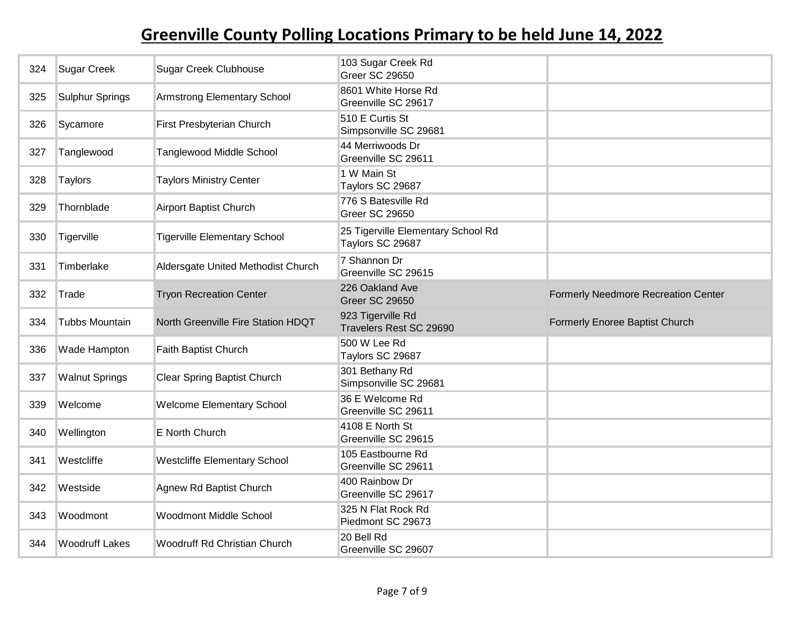| 324 | <b>Sugar Creek</b>     | <b>Sugar Creek Clubhouse</b>        | 103 Sugar Creek Rd<br><b>Greer SC 29650</b>            |                                            |
|-----|------------------------|-------------------------------------|--------------------------------------------------------|--------------------------------------------|
| 325 | <b>Sulphur Springs</b> | Armstrong Elementary School         | 8601 White Horse Rd<br>Greenville SC 29617             |                                            |
| 326 | Sycamore               | First Presbyterian Church           | 510 E Curtis St<br>Simpsonville SC 29681               |                                            |
| 327 | Tanglewood             | <b>Tanglewood Middle School</b>     | 44 Merriwoods Dr<br>Greenville SC 29611                |                                            |
| 328 | Taylors                | <b>Taylors Ministry Center</b>      | 1 W Main St<br>Taylors SC 29687                        |                                            |
| 329 | Thornblade             | <b>Airport Baptist Church</b>       | 776 S Batesville Rd<br><b>Greer SC 29650</b>           |                                            |
| 330 | Tigerville             | <b>Tigerville Elementary School</b> | 25 Tigerville Elementary School Rd<br>Taylors SC 29687 |                                            |
| 331 | Timberlake             | Aldersgate United Methodist Church  | 7 Shannon Dr<br>Greenville SC 29615                    |                                            |
| 332 | Trade                  | <b>Tryon Recreation Center</b>      | 226 Oakland Ave<br><b>Greer SC 29650</b>               | <b>Formerly Needmore Recreation Center</b> |
|     |                        |                                     |                                                        |                                            |
| 334 | Tubbs Mountain         | North Greenville Fire Station HDQT  | 923 Tigerville Rd<br>Travelers Rest SC 29690           | Formerly Enoree Baptist Church             |
| 336 | Wade Hampton           | Faith Baptist Church                | 500 W Lee Rd<br>Taylors SC 29687                       |                                            |
| 337 | <b>Walnut Springs</b>  | <b>Clear Spring Baptist Church</b>  | 301 Bethany Rd<br>Simpsonville SC 29681                |                                            |
| 339 | Welcome                | <b>Welcome Elementary School</b>    | 36 E Welcome Rd<br>Greenville SC 29611                 |                                            |
| 340 | Wellington             | E North Church                      | 4108 E North St<br>Greenville SC 29615                 |                                            |
| 341 | Westcliffe             | <b>Westcliffe Elementary School</b> | 105 Eastbourne Rd<br>Greenville SC 29611               |                                            |
| 342 | Westside               | Agnew Rd Baptist Church             | 400 Rainbow Dr<br>Greenville SC 29617                  |                                            |
| 343 | Woodmont               | <b>Woodmont Middle School</b>       | 325 N Flat Rock Rd<br>Piedmont SC 29673                |                                            |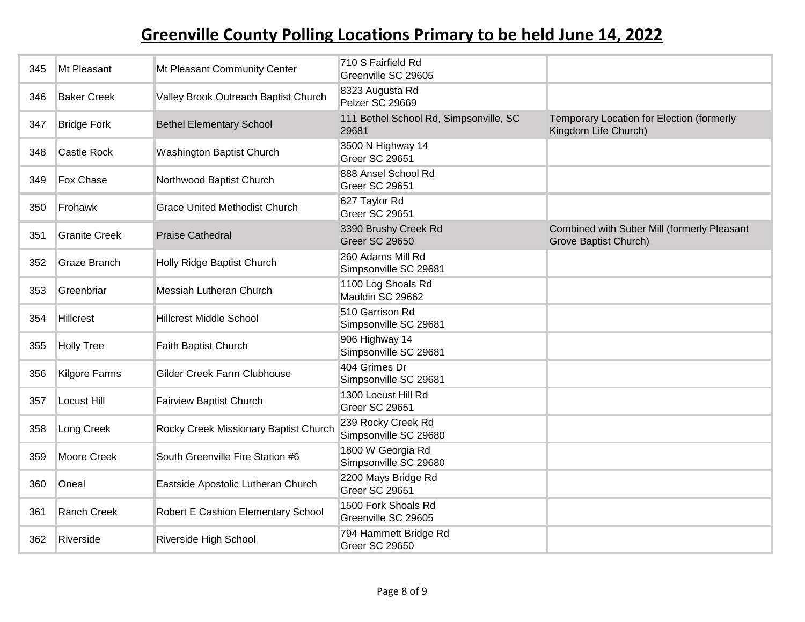| 345 | Mt Pleasant          | Mt Pleasant Community Center          | 710 S Fairfield Rd<br>Greenville SC 29605       |                                                                      |
|-----|----------------------|---------------------------------------|-------------------------------------------------|----------------------------------------------------------------------|
| 346 | <b>Baker Creek</b>   | Valley Brook Outreach Baptist Church  | 8323 Augusta Rd<br>Pelzer SC 29669              |                                                                      |
| 347 | <b>Bridge Fork</b>   | <b>Bethel Elementary School</b>       | 111 Bethel School Rd, Simpsonville, SC<br>29681 | Temporary Location for Election (formerly<br>Kingdom Life Church)    |
| 348 | <b>Castle Rock</b>   | <b>Washington Baptist Church</b>      | 3500 N Highway 14<br>Greer SC 29651             |                                                                      |
| 349 | Fox Chase            | Northwood Baptist Church              | 888 Ansel School Rd<br>Greer SC 29651           |                                                                      |
| 350 | Frohawk              | <b>Grace United Methodist Church</b>  | 627 Taylor Rd<br>Greer SC 29651                 |                                                                      |
| 351 | <b>Granite Creek</b> | <b>Praise Cathedral</b>               | 3390 Brushy Creek Rd<br><b>Greer SC 29650</b>   | Combined with Suber Mill (formerly Pleasant<br>Grove Baptist Church) |
| 352 | Graze Branch         | Holly Ridge Baptist Church            | 260 Adams Mill Rd<br>Simpsonville SC 29681      |                                                                      |
| 353 | Greenbriar           | Messiah Lutheran Church               | 1100 Log Shoals Rd<br>Mauldin SC 29662          |                                                                      |
| 354 | <b>Hillcrest</b>     | <b>Hillcrest Middle School</b>        | 510 Garrison Rd<br>Simpsonville SC 29681        |                                                                      |
| 355 | <b>Holly Tree</b>    | Faith Baptist Church                  | 906 Highway 14<br>Simpsonville SC 29681         |                                                                      |
| 356 | <b>Kilgore Farms</b> | Gilder Creek Farm Clubhouse           | 404 Grimes Dr<br>Simpsonville SC 29681          |                                                                      |
| 357 | Locust Hill          | <b>Fairview Baptist Church</b>        | 1300 Locust Hill Rd<br>Greer SC 29651           |                                                                      |
| 358 | Long Creek           | Rocky Creek Missionary Baptist Church | 239 Rocky Creek Rd<br>Simpsonville SC 29680     |                                                                      |
| 359 | Moore Creek          | South Greenville Fire Station #6      | 1800 W Georgia Rd<br>Simpsonville SC 29680      |                                                                      |
| 360 | Oneal                | Eastside Apostolic Lutheran Church    | 2200 Mays Bridge Rd<br>Greer SC 29651           |                                                                      |
| 361 | Ranch Creek          | Robert E Cashion Elementary School    | 1500 Fork Shoals Rd<br>Greenville SC 29605      |                                                                      |
| 362 | Riverside            | Riverside High School                 | 794 Hammett Bridge Rd<br><b>Greer SC 29650</b>  |                                                                      |